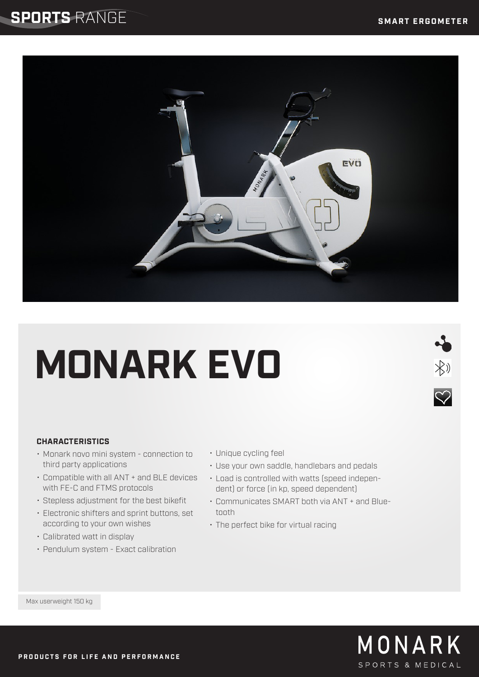### **SPORTS** RANGE



# **MONARK EVO**

# $\frac{1}{2}$  $\heartsuit$

### **CHARACTERISTICS**

- Monark novo mini system connection to third party applications
- Compatible with all ANT + and BLE devices with FE-C and FTMS protocols
- Stepless adjustment for the best bikefit
- Electronic shifters and sprint buttons, set according to your own wishes
- Calibrated watt in display
- Pendulum system Exact calibration
- Unique cycling feel
- Use your own saddle, handlebars and pedals
- Load is controlled with watts (speed independent) or force (in kp, speed dependent)
- Communicates SMART both via ANT + and Bluetooth
- The perfect bike for virtual racing

Max userweight 150 kg

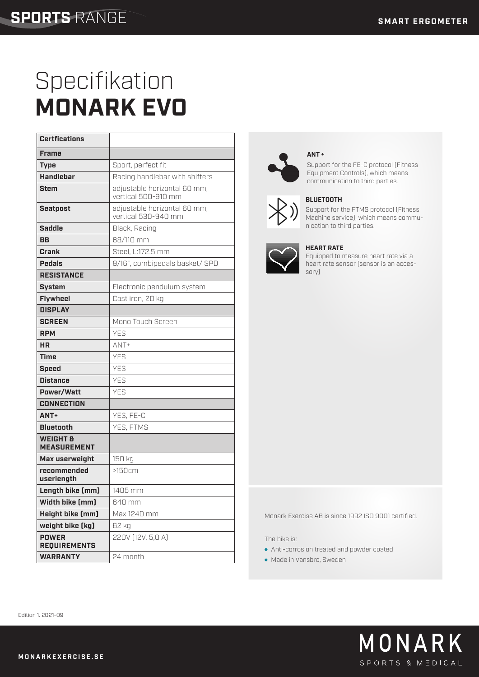## Specifikation **MONARK EVO**

| <b>Certfications</b>                      |                                                     |
|-------------------------------------------|-----------------------------------------------------|
| <b>Frame</b>                              |                                                     |
| <b>Type</b>                               | Sport, perfect fit                                  |
| <b>Handlebar</b>                          | Racing handlebar with shifters                      |
| <b>Stem</b>                               | adjustable horizontal 60 mm,<br>vertical 500-910 mm |
| <b>Seatpost</b>                           | adjustable horizontal 60 mm,<br>vertical 530-940 mm |
| <b>Saddle</b>                             | Black, Racing                                       |
| <b>BB</b>                                 | 68/110 mm                                           |
| Crank                                     | Steel, L:172.5 mm                                   |
| <b>Pedals</b>                             | 9/16", combipedals basket/ SPD                      |
| <b>RESISTANCE</b>                         |                                                     |
| System                                    | Electronic pendulum system                          |
| <b>Flywheel</b>                           | Cast iron, 20 kg                                    |
| <b>DISPLAY</b>                            |                                                     |
| <b>SCREEN</b>                             | Mono Touch Screen                                   |
| <b>RPM</b>                                | <b>YES</b>                                          |
| <b>HR</b>                                 | $ANT+$                                              |
| <b>Time</b>                               | YES                                                 |
| <b>Speed</b>                              | <b>YFS</b>                                          |
| <b>Distance</b>                           | <b>YES</b>                                          |
| Power/Watt                                | <b>YES</b>                                          |
| <b>CONNECTION</b>                         |                                                     |
| ANT+                                      | YES, FE-C                                           |
| <b>Bluetooth</b>                          | YES, FTMS                                           |
| <b>WEIGHT &amp;</b><br><b>MEASUREMENT</b> |                                                     |
| Max userweight                            | 150 kg                                              |
| recommended<br>userlength                 | >150cm                                              |
| Length bike (mm)                          | 1405 mm                                             |
| Width bike [mm]                           | 640 mm                                              |
| Height bike (mm)                          | Max 1240 mm                                         |
| weight bike [kg]                          | 62 kg                                               |
| <b>POWER</b><br><b>REQUIREMENTS</b>       | 220V (12V, 5,0 A)                                   |
| <b>WARRANTY</b>                           | 24 month                                            |



#### **ANT +**

Support for the FE-C protocol (Fitness Equipment Controls), which means communication to third parties.



### **BLUETOOTH**

Support for the FTMS protocol (Fitness Machine service), which means communication to third parties.



#### **HEART RATE**

Equipped to measure heart rate via a heart rate sensor (sensor is an accessory)

#### Monark Exercise AB is since 1992 ISO 9001 certified.

The bike is:

- Anti-corrosion treated and powder coated
- Made in Vansbro, Sweden

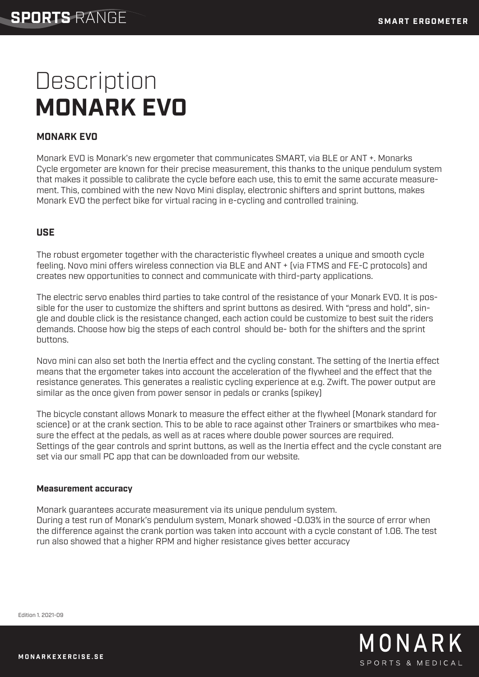## **Description MONARK EVO**

### MONARK EVO

Monark EVO is Monark's new ergometer that communicates SMART, via BLE or ANT +. Monarks Cycle ergometer are known for their precise measurement, this thanks to the unique pendulum system that makes it possible to calibrate the cycle before each use, this to emit the same accurate measurement. This, combined with the new Novo Mini display, electronic shifters and sprint buttons, makes Monark EVO the perfect bike for virtual racing in e-cycling and controlled training.

### **USE**

The robust ergometer together with the characteristic flywheel creates a unique and smooth cycle feeling. Novo mini offers wireless connection via BLE and ANT + (via FTMS and FE-C protocols) and creates new opportunities to connect and communicate with third-party applications.

The electric servo enables third parties to take control of the resistance of your Monark EVO. It is possible for the user to customize the shifters and sprint buttons as desired. With "press and hold", single and double click is the resistance changed, each action could be customize to best suit the riders demands. Choose how big the steps of each control should be- both for the shifters and the sprint buttons.

Novo mini can also set both the Inertia effect and the cycling constant. The setting of the Inertia effect means that the ergometer takes into account the acceleration of the flywheel and the effect that the resistance generates. This generates a realistic cycling experience at e.g. Zwift. The power output are similar as the once given from power sensor in pedals or cranks (spikey)

The bicycle constant allows Monark to measure the effect either at the flywheel (Monark standard for science) or at the crank section. This to be able to race against other Trainers or smartbikes who measure the effect at the pedals, as well as at races where double power sources are required. Settings of the gear controls and sprint buttons, as well as the Inertia effect and the cycle constant are set via our small PC app that can be downloaded from our website.

### **Measurement accuracy**

Monark guarantees accurate measurement via its unique pendulum system. During a test run of Monark's pendulum system, Monark showed -0.03% in the source of error when the difference against the crank portion was taken into account with a cycle constant of 1.06. The test run also showed that a higher RPM and higher resistance gives better accuracy



Edition 1. 2021-09